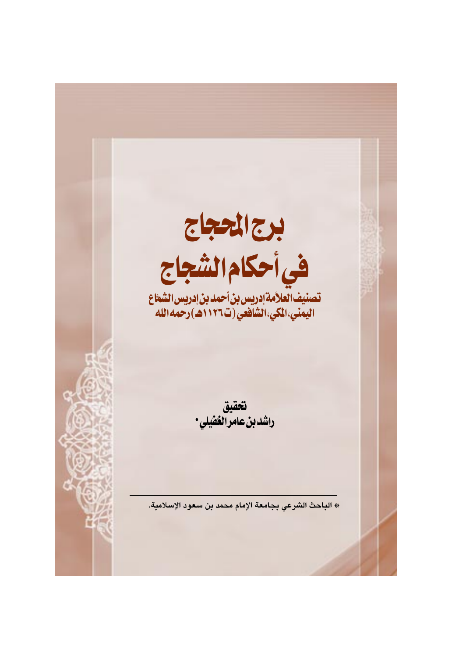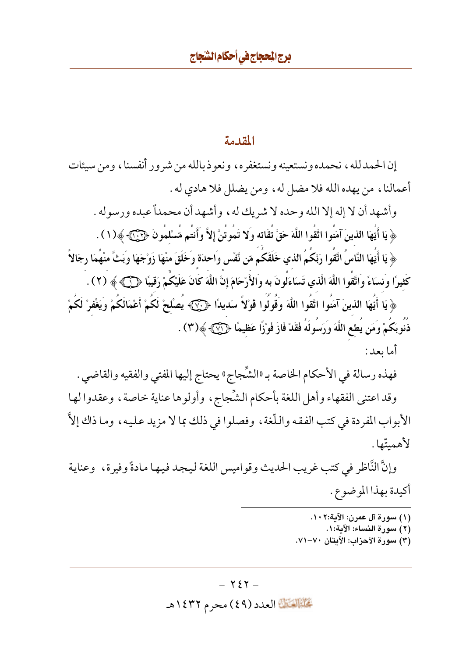## المقدمة

إن الحمدلله ، نحمده ونستعينه ونستغفره ، ونعوذ بالله من شرور أنفسنا ، ومن سيئات أعمالنا، من يهده الله فلا مضل له، ومن يضلل فلا هادي له . وأشهد أن لا إله إلا الله وحده لا شريك له، وأشهد أن محمداً عبده ورسوله . ﴿ يَا أَيُّهَا الَّذِينَ آمَنُوا اتَّقُوا اللَّهَ حَقَّ تُقَاتِهِ وَلا تَمُو تُنَّ إِلاَّ وَأَنتُمِ مَّسْلمُونَ ﴿ آيَ ﴾ (١ ) . ﴿ يَا أَيُّهَا النَّاسُ اتَّقُوا رَبَّكُمُ الذي خَلَقَكُم مّن نَّفْس واحدَة وخَلَقَ منْهَا زَوْجَهَا وبَثّ منهُمَا رجَالاً كَثِيرًا ونسَاءً واَتَّقُوا اللَّهَ الَّذي تَسَاءَلُونَ به واَلأَرْحَامَ إِنَّ اللَّهَ كَانَ عَلَيْكُمْ رَقيبًا ﴿ (٢) . ﴿ يَا أَيُّهَا الذينَ آمَنُوا اتَّقُوا اللَّهَ وَقُولُوا قَوْلاً سَديدًا ﴿ بَيْنَ ۖ يُصلْحْ لَكُمْ أَعْمَالَكُمْ ويَغْفرْ لَكُمْ ذَنَوبَكُمْ وَمَن يُطع اللَّهَ وَرَسُولَهُ فَقَدْ فَازَ فَوْزًا عَظِيمًا ﴿ (٣) ﴾ (٣) . أما ىعد :

فهذه رسالة في الأحكام الخاصة بـ «الشَّجاج» يحتاج إليها المفتى والفقيه والقاضي . وقد اعتنى الفقهاء وأهل اللغة بأحكام الشِّجاج، وأولوها عناية خاصة، وعقدوا لها الأبواب المفردة في كتب الفقه واللُّغة ، وفصلوا في ذلك بما لا مزيد عليه ، وما ذاك إلاَّ لأهمىتّها .

وإنَّ النَّاظر في كتب غريب الحديث وقواميس اللغة ليجد فيها مادةً وفيرة، وعناية أكيدة بهذا الموضوع .

- (١) سورة آل عمرن: الآية:١٠٢.
	- (٢) سورة النساء: الآية:١.
- (٣) سورة الأحزاب: الآيتان ٧٠–٧١.

#### $-727-$

تَحَلَّمُ الْقَالَ الْعَدَدَ (٤٩) محرِم ١٤٣٢هـ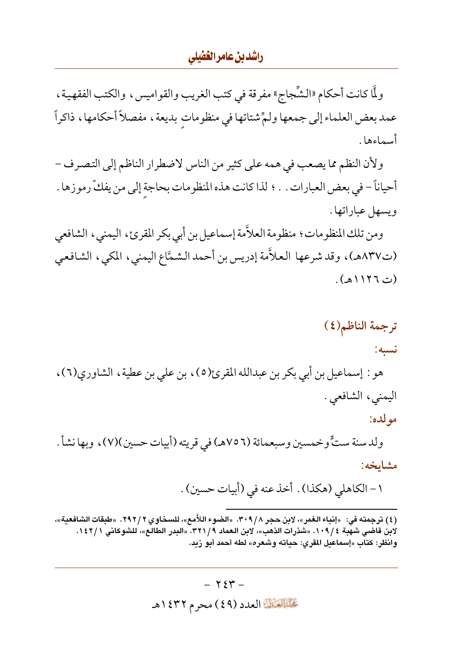### راشدين عامر الغشلي

ولَّا كانت أحكام «الشِّجاج» مفرقة في كتب الغريب والقواميس، والكتب الفقهية، عمد بعض العلماء إلى جمعها ولمٍّ شتاتها في منظومات بديعة ، مفصلاً أحكامها ، ذاكراً أسماءها .

ولأن النظم مما يصعب في همه على كثير من الناس لاضطرار الناظم إلى التصرف – أحياناً – في بعض العبارات . . ؛ لذا كانت هذه المنظومات بحاجة إلى من يفكِّ رموزها . ويسهل عباراتها .

ومن تلك المنظومات ؛ منظومة العلاَّمة إسماعيل بن أبي بكر المقرئ، اليمني، الشافعي (ت٨٣٧هـ)، وقد شرعها العلاّمة إدريس بن أحمد الشمَّاع اليمني، المكي، الشافعي (ت ١١٢٦هـ).

# ترجمة الناظم (٤) نسبه:

مو لده:

هو : إسماعيل بن أبي بكر بن عبدالله المقرئ(٥)، بن على بن عطية، الشاوري(٦)، اليمني، الشافعي.

ولد سنة ستٍّ وخمسين وسبعمائة (٧٥٦هـ) في قريته (أبيات حسين)(٧)، وبها نشأ . مشاىخە:

١ – الكاهلي (هكذا) . أخذ عنه في (أبيات حسين) .

(٤) ترجمته في: «إنباء الغمر»، لابن حجر ٣٠٩/٨. «الضوء اللاَّمع»، للسخاوي ٢ / ٢٩٢. «طبقات الشافعية»، لابن قاضي شهِّبة ١٠٩/٤. «شذرات الذهب»، لابن العماد ٣٢١/٩. «البدر الطالع»، للشوكاني ١٤٢/١. وانظر: كتاب «إسماعيل المقري: حياته وشعره» لطه أحمد أبو زيد.

> $-754$ تحليل العدد (٤٩) محرم ١٤٣٢هـ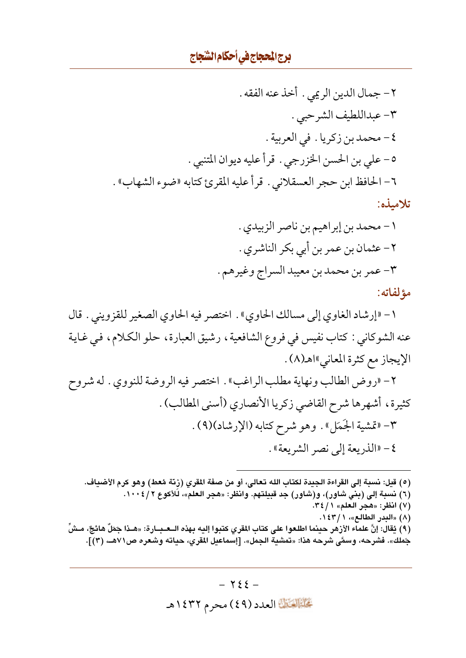١ – «إرشاد الغاوي إلى مسالك الحاوي» . اختصر فيه الحاوي الصغير للقزويني . قال عنه الشوكاني : كتاب نفيس في فروع الشافعية ، رشيق العبارة ، حلو الكلام ، في غاية الإيجاز مع كثرة المعاني»اهـ(٨) .

٢- «روض الطالب ونهاية مطلب الراغب» . اختصر فيه الروضة للنووي . له شروح كثيرة، أشهرها شرح القاضي زكريا الأنصاري (أسنى المطالب) . ٣- «قمشية الجَمَل» . وهو شرح كتابه (الإرشاد)(٩) . ٤- «الذريعة إلى نصر الشريعة» .

(٥) قيل: نسبة إلى القراءة الجيدة لكتاب الله تعالى، أو من صفة المقرى (زنَّة مُعط) وهو كرم الأضياف. (٦) نسبة إلى (بني شاور)، و(شاور) جد قبيلتهم. وانظر: «هجر العلم»، لَلأكوع ٢ / ١٠٠٤. (٧) انظر: «هجر العلم» ٢٤/١. (٨) «البدر الطالع»، ١٤٣/١. (٩) يُقال: إنَّ علماء الأزهر حينما اطلعوا على كتاب المقري كتبوا إليه بهذه الــعـبــارة: «هــذا جَمَلٌ هائجٌ، مــشّ جَملك». فشرحه، وسمَّى شرحه هذا: «تمشية الجمل». [إسماعيل المقري، حياته وشعره ص٧١هــ، (٣)].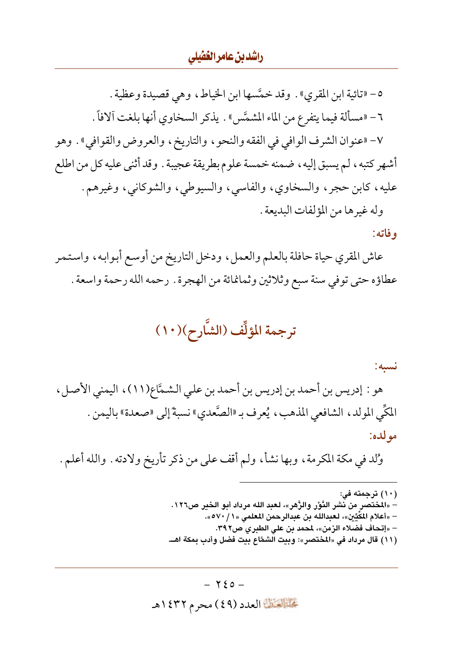### راشدين عامر الغضلي

٥- «تائية ابن المقرى» . وقد خمَّسها ابن الخياط ، وهي قصيدة وعظية . ٦- «مسألة فيما يتفرع من الماء المشمَّس» . يذكر السخاوي أنها بلغت آلافاً . ٧- «عنوان الشرف الوافي في الفقه والنحو ، والتاريخ ، والعروض والقوافي» . وهو أشهر كتبه، لم يسبق إليه، ضمنه خمسة علوم بطريقة عجيبة . وقد أثنى عليه كل من اطلع عليه، كابن حجر، والسخاوي، والفاسي، والسيوطي، والشوكاني، وغيرهم. وله غير ها من المؤلفات البديعة .

وفاته:

عاش المقري حياة حافلة بالعلم والعمل، ودخل التاريخ من أوسع أبوابه، واستمر عطاؤه حتى توفي سنة سبع وثلاثين وثمانمائة من الهجرة . رحمه الله رحمة واسعة .

ترجمة المؤلِّف (الشَّارح)(١٠)

نسبه:

هو : إدريس بن أحمد بن إدريس بن أحمد بن على الشمَّاع(١١)، اليمني الأصل، المكِّي المولد، الشافعي المذهب، يُعرف بـ «الصَّعدي» نسبةً إلى «صعدة» باليمن . مولده:

وُلد في مكة المكرمة ، وبها نشأ ، ولم أقف على من ذكر تأريخ ولادته . والله أعلم .

(١٠) ترجمته في: – «المختصر من نشر النَّوْر والزَّهر»، لعبد الله مرداد أبو الخبر ص١٢٦. – «أعلام المُكِّيِّن»، لعبدالله بن عبدالرحمن المعلمي «١ / ٥٧٠». – «إتحاف فضلاء الزمن»، لمحمد بن على الطبري ص٢٩٢. (١١) قال مرداد في «المختصر»: وبيت الشمَّاع بيت فضل وأدب بمكة اهــ.

 $-720-$ تحليله الله العدد (٤٩) محرم ١٤٣٢هـ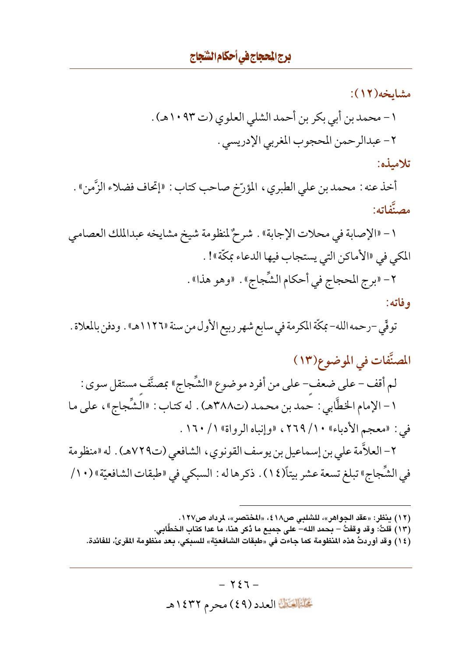مشايخە(١٢): ١ – محمد بن أبي بكر بن أحمد الشلي العلوي (ت ١٠٩٣هـ) . ٢- عبدالر حمن المحجوب المغربي الإدريسي . تلامىذە:

أخذ عنه : محمد بن على الطبري ، المؤرّخ صاحب كتاب : «إتحاف فضلاء الزَّمن» . مصنَّفاته:

١- «الإصابة في محلات الإجابة» . شرحٌ لمنظومة شيخ مشايخه عبدالملك العصامي المكي في «الأماكن التي يستجاب فيها الدعاء بمكَّة»! . ٢- «برج المحجاج في أحكام الشِّجاج» . «وهو هذا» . وفاته:

توفِّي –رحمه الله– بمكّة المكرمة في سابع شهر ربيع الأول من سنة «١١٢٦هـ» . ودفن بالمعلاة .

المصنَّفات في الموضوع(١٣) لم أقف – على ضعف– على من أفرد موضوع «الشِّجاج» بمصنَّف مستقل سوى : ١ - الإمام الخطَّابي : حمد بن محمد (ت٣٨٨هـ) . له كتاب : «الشِّجاج»، على ما في : «معجم الأدباء» ١٠/ ٢٦٩، «وإنباه الرواة» ١/ ١٦٠ . ٢ – العلاَّمة علي بن إسماعيل بن يوسف القونوي ، الشافعي (ت٧٢٩هـ) . له «منظومة في الشِّجاجِ» تبلغ تسعة عشر بيتاً(١٤) . ذكرها له : السبكي في «طبقات الشافعيّة» (١٠/

(١٢) ينظر: «عقد الجواهر»، للشلبي ص١٨، «المختصر»، لمرداد ص١٢٧.

(١٣) قلتُ: وقد وقفتُ – بحمد الله– على جميع ما دُكر هنا، ما عدا كتاب الخطَّابي.

(١٤) وقد أوردتُ هذه المنظومة كما جاءت في «طبقات الشافعيّة» للسبكي، بعد منظومة المقرئ، للفائدة.

 $-727-$ تَحَلَّمُ الْقَالِمَادِدِ (٤٩) محرِمِ ١٤٣٢هـ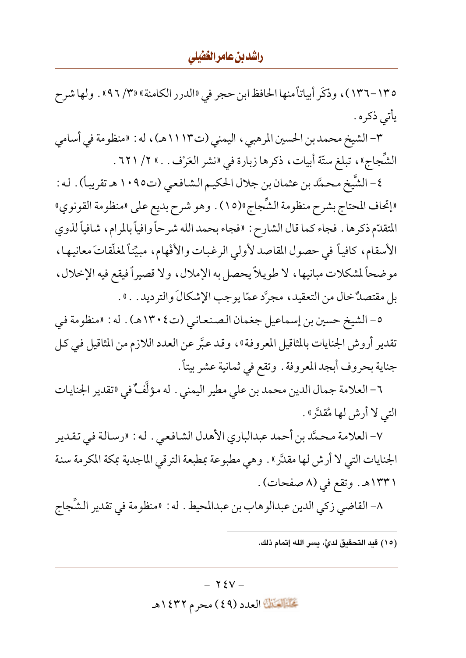### راشدبن عامرالغفيلي

١٣٥–١٣٦)، وذكَر أبياتاً منها الحافظ ابن حجر في «الدرر الكامنة» «٣/ ٩٦، ولها شرح يأتي ذكره .

٣- الشيخ محمد بن الحسين المرهبي ، اليمني (ت١١١٣هـ) ، له : «منظومة في أسامي الشَّجاجِ»، تبلغ ستَّة أبيات، ذكرها زبارة في «نشر العَرْف . . » ٢/ ٦٢١ .

٤- الشَّيخ محمَّد بن عثمان بن جلال الحكيم الشـافعـي (ت١٠٩٥ هـ تقريباً) . له : «إتحاف المحتاج بشرح منظومة الشَّجاج»(١٥) . وهو شرح بديع على «منظومة القونوي» المتقدّم ذكرها . فجاء كما قال الشارح : «فجاء بحمد الله شرحاً وافياً بالمرام، شافياً لذوي الأسقام، كافياً في حصول المقاصد لأولي الرغبات والأفْهام، مبيِّناً لمغلَّقاتَ معانيها، موضحاً لمشكلات مبانيها، لا طويلاً يحصل به الإملال، ولا قصيراً فيقع فيه الإخلال، بل مقتصلٌ خال من التعقيد، مجرَّد عمّا يوجب الإشكالَ والترديد . . » .

٥- الشيخ حسين بن إسماعيل جغمان الصنعاني (ت١٣٠٤هـ) . له : «منظومة في تقدير أروش الجنايات بالمثاقيل المعروفة»، وقد عبَّر عن العدد اللازم من المثاقيل في كل جناية بحروف أبجد المعروفة . وتقع في ثمانية عشر بيتاً .

٦- العلامة جمال الدين محمد بن على مطير اليمني . له مؤلَّفٌ في «تقدير الجنايات التي لا أرش لها مُقدَّرٍ» .

٧- العلامة محمَّد بن أحمد عبدالباري الأهدل الشافعي . له : «رسالة في تقدير الجنايات التي لا أرش لها مقدَّر » . وهي مطبوعة بمطبعة الترقي الماجدية بمكة المكرمة سنة ١٣٣١هـ. وتقع في (٨ صفحات).

٨- القاضي زكي الدين عبدالوهاب بن عبدالمحيط . له : «منظومة في تقدير الشَّجاج

(١٥) قيد التحقيق لديَّ، يسر الله إتمام ذلك.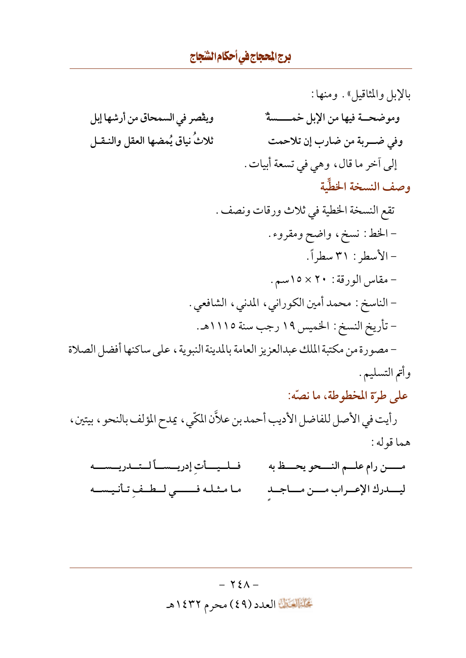بالإبل والمثاقيل». ومنها: ويقْصر في السمحاق من أرشها إبل وموضحــة فيها من الإبل خمـــــسةٌ ثلاثُ نياقٍ يُمضها العقل والنقل وفي ضربة من ضارب إن تلاحمت إلى أخر ما قال، وهي في تسعة أبيات. وصف النسخة الخطِّية تقع النسخة الخطية في ثلاث ورقات ونصف . - الخط: نسخ، واضح ومقروء. -الأسطر : ٣١سطراً. - مقاس الورقة : ٢٠ × ١٥سم. – الناسخ : محمد أمين الكوراني، المدنى، الشافعي . - تأريخ النسخ : الخميس ١٩ رجب سنة ١١١٥هـ. – مصورة من مكتبة الملك عبدالعزيز العامة بالمدينة النبوية ، على ساكنها أفضل الصلاة وأتم التسليم .

على طرّة المخطوطة، ما نصّه:

رأيت في الأصل للفاضل الأديب أحمد بن علاَّن المكّي، يمدح المؤلف بالنحو ، بيتين، هما قوله:

فلليسأت إدريسسألتلريسسه مـــــن رام علـــم النــــحو يحـــظ به ما مثله فسمى لطف تأنيسه ليــدرك الإعـراب مــن مــاجـد

> $- Y_{\epsilon} \wedge -$ تحليل العدد (٤٩) محرم ١٤٣٢هـ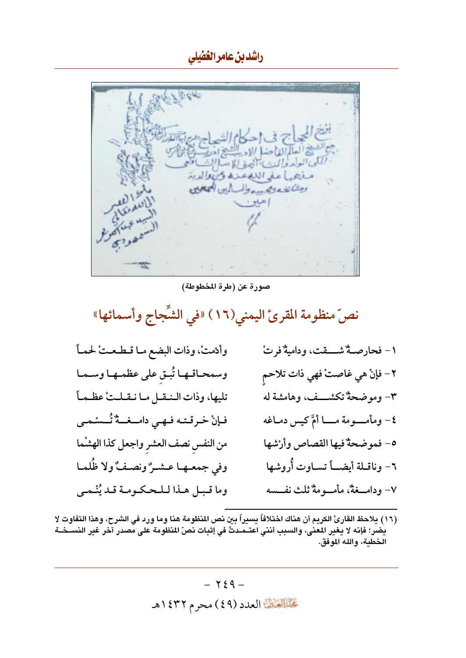را*شد بن عام*رال*خُفيلي* 

الصيغ العالم الغاصله الاه الشيخ ادرات والمخالفين<br>المآل الولد والمن الأوغالة صلا النسائف معجب منحها عفى الله عندة وتهالما الدينة ومثانيته ومستعطيه المرادين المجاهلة

صورة عن (طرة المخطوطة)

نصّ منظومة المقرئ اليمني(١٦) «في الشِّجاج وأسمائها»

| وأدْمتْ، وذات البضع مـا قـطـعـتْ لحمـاً   | ١– فحارصـةٌ شــــقت، وداميةٌ فرتْ       |
|-------------------------------------------|-----------------------------------------|
| وسمحاقها تُبق على عظمها وسما              | ٢- فإنْ هي غاصتْ فهي ذات تلاحم          |
| تليها، وذات الـنـقـل مـا نـقـلـتْ عظـمـاً | ٣- وموضحةٌ تكشـــف، وهامشة له           |
| فإنْ خرقته فهي دامــغــةٌ تُــسْـمـى      | ٤- ومأمــــومة مــــا أمَّ كيس دمــاغه  |
| من النفس نصف العشر واجعل كذا الهشما       | ٥- فموضحةٌ فيها القصاص وأرْشها          |
| وفي جمعـهـا عـشـرٌ ونصـفٌ ولا ظُلمـا      | ٦- وناقـلة أيضـــاً تســاوت أُروشها     |
| وما قبل هـذا لـلـحكومـة قـد يُنْـمـى      | ٧- ودامــــغةٌ، مأمــــومةٌ ثلث نفـــسه |

(١٦) يلاحظ القارئ الكريم أن هناك اختلافاً يسيراً بين نص المنظومة هنا وما ورد في الشرح، وهذا التفاوت لا يضر؛ فإنه لا يغير المعنى، والسبب أنني اعتــمـدتُ في إثبات نصّ المنظومة على مصدر آخر غير النســخــة الخطبة، والله الموفق.

> $\gamma$   $\xi$   $q$   $-$ تحليلات العدد (٤٩) محرم ١٤٣٢هـ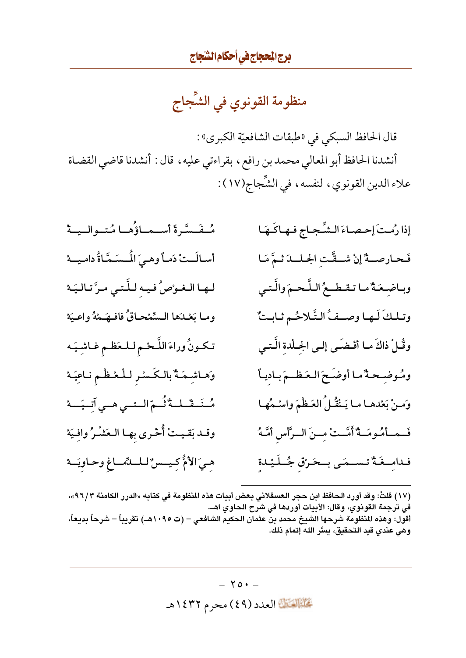منظومة القونوي في الشَّجاج

قال الحافظ السبكي في «طبقات الشافعيّة الكبرى» : أنشدنا الحافظ أبو المعالي محمد بن رافع ، بقراءتي عليه ، قال : أنشدنا قاضي القضاة علاء الدين القونوي، لنفسه، في الشِّجاج(١٧):

إذا رُمتَ إحصاءَ الشِّجاج فهاكَهَا مُنفَسَّرةً أستمتاؤُهنا مُتنوالينة فَحارصةٌ إنْ شقَّت الجللدَ ثمَّ مَا أسالَـتْ دَمـاً وهـيَ المُـسَـمَّـاةُ دامـيــهْ لها الغوْصُ فيه للَّتى مرَّ تاليَهْ وباضعَةٌ ما تقطعُ اللَّحمَ والَّتى وما بَعْدَها السِّمْحاقُ فافْهَـهْهُ واعْيَهْ وتلكَ لَها وصفُ التَّلاحُم ثابتٌ تكونُ وراءَ اللَّحْمِ للعَظْمِ غاشِيَه وقُلْ ذاكَ ما أفْضَى إلى الجللة الَّتى وَهاشِمَةٌ بالكَسْرِ للْعْظْمِ ناعِيَهْ ومُوضِحةٌ ما أوضَحَ العَظْمَ بادياً مُـنَـقّـلـةٌ نُـمّ الـتـى هـى آتـيَـــهْ وَمنْ بَعْدها ما يَنْقُلُ العَظْمَ واسْمُها وقـد بَقـيـتْ أُحْـري بهـا الـعَشْـرُ وافِيَهْ فَــمــأمُـومَــةٌ أَمَّــتْ مِــنَ الــرَّأسِ أمَّـهُ هيَ الأمُّ كِيسِسُ لللهِّماغِ وحاويَهْ فدامــغَـةٌ تـســمَـى بــحَـرْق جُــلَـيْـدة

(١٧) قلتُ: وقد أورد الحافظ ابن حجر العسقلاني بعض أبيات هذه المنظومة في كتابه «الدرر الكامنة ٩٦/٣»، في ترجمة القونوي، وقال: الأبيات أوردها في شرح الحاوي اهــ. أقول: وهذه المنظومة شرحها الشيخ محمد بن عثمان الحكيم الشافعي – (ت ١٠٩٥هـ) تقريباً – شرحاً بديعاً، وهي عندي قيد التحقيق، يسَّر الله إتمام ذلك.

> $-70+$ تَحَلَّمُ الْقَالِمَادِدِ (٤٩) محرِمِ ١٤٣٢هـ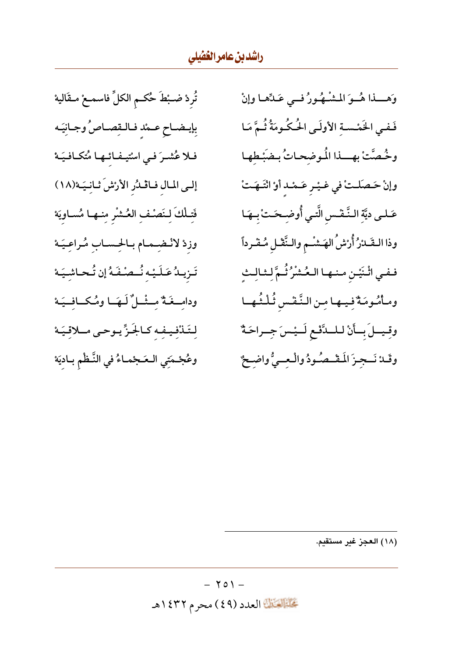تُردْ ضـبْطَ حُكـم الكلِّ فاسمـعْ مـقَاليهْ بِإيضـاحِ عـمْد فـالـقِصـاصُ وجـانِيَـه فلا عُشرَ في اسْتيفائها مُتكافيَهْ إلى المال فاڤلُر الأرْشَ ثانِيَهْ(١٨) فَتِلْكَ لِنَصْفِ العُشْرِ مِنها مُساويَهْ وزدْ لانْضمام بالحساب مُراعيَهْ تَـرْيـدُ عَـلَـيْـهِ نُــصُـفَـهُ إن تُـحـاشِـيَــهْ ودامِـغَةٌ مِـثْـلٌ لَـهَـا ومُكَـافِـيَـهْ لِتَلْنْفِيفِهِ كالجَزِّيوحى ملاقيَهْ وعُجْمَتِي الـعَجْمـاءُ في النَّـظْم بـاديَهْ

وَهِــذا هُــوَ المُشْـهُورُ فــى عَـدِّهـا وإنْ فَفي الخَمْسةِ الأولَى الْحُكُومَةُ ثُمَّ مَا وخُصَّتْ بهسذا المُوضِحاتُ بضَبْطِها وإنْ حَصَلتْ في غيْر عَمْد أَوْ انْتَهَتْ عَـلـى ديَّةِ الـنَّـفْس الَّتـي أُوضِـحَـتْ بِـهَـا وذا التَصَدْرُ أُرْسْ الهَشْم والنَّفْل مُفْرداً ففي اثْنَيْنِ منها العُشْرُ ثُمَّ لِثالِث ومأْمُومَةٌ فِيها مِن النَّفْس ثُلْثُها وقيملَ باأنْ للمدَّفع لَـيْسَ جِـراحَةٌ وقَلانَـجِزَ الَمَقْـصُودُ والْـعِـيُّ واضِـحٌ

(١٨) العجز غير مستقدم.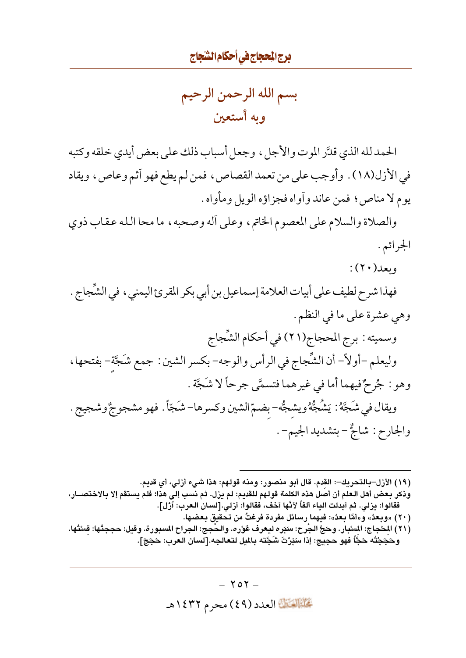بسم الله الرحمن الرحيم و به أستعين

الحمد لله الذي قدَّر الموت والأجل، وجعل أسباب ذلك على بعض أيدي خلقه وكتبه في الأزل(١٨) . وأوجب على من تعمد القصاص ، فمن لم يطع فهو أثم وعاص ، ويقاد يوم لا مناص ؛ فمن عاند وأواه فجزاؤه الويل ومأواه .

والصلاة والسلام على المعصوم الخاتم، وعلى أله وصحبه، ما محا الله عقاب ذوى الجرائم .

- $:(\Upsilon\cdot)\cup$ ويعد
- فهذا شرح لطيف على أبيات العلامة إسماعيل بن أبي بكر المقرئ اليمني ، في الشَّجاج . وهي عشرة على ما في النظم . وسميته : برج المحجاج(٢١) في أحكام الشِّجاج وليعلم –أولاً– أن الشِّجاج في الرأس والوجه– بكسر الشين : جمع شَجَّة– بفتحها ، وهو : جُرِحٌ فيهما أما في غيرهما فتسمَّى جرحاً لا شَجَّة . ويقال في شَجَّهُ : يَشُجُّهُ ويشجُّه– بضمّ الشين وكسرها– شَجّاً . فهو مشجوجٌ وشجيج . والجارح: شاجٌّ – بتشديد الجيم− .
	- (١٩) الأزل–بالتحريك–: القدم. قال أبو منصور: ومنه قولهم: هذا شيء أزلي، أي قديم.
- وذكر بعض أهل العلم أن أصل هذه الكلمة قولهم للقديم: لم يزل. ثم نسب إلى هذا؛ فلم يستقم إلا بالاختصــار، فقالوا: يزلي. ثم أبدلت الياء ألفاً لأنَّها أخف، فقالوا: أزلي.[لسان العرب: أزّل].
- ( ٢٠ ) «وبعدُ» و«أمَّا بعدُ»: فيهما رسائل مفردة فرغتُ من تحقيق بعضها. (٢١) المحْجاج: المسْبار. وحَجَّ الجَرح: سَبَره ليعرف غَوْره. والحَجج: الجراح المسبورة. وقيل: حججتُها: قستُها. وحَجَجْتُه حَجًّا فهو حجيج: إذا سَبَرْتَ شَجَّته بالميل لتعالجه.[لسان العرب: حَجَجَ].

 $-$  ۲٥۲ $-$ تَحَلَّمُ الْقَالِمَادِدِ (٤٩) محرِمِ ١٤٣٢هـ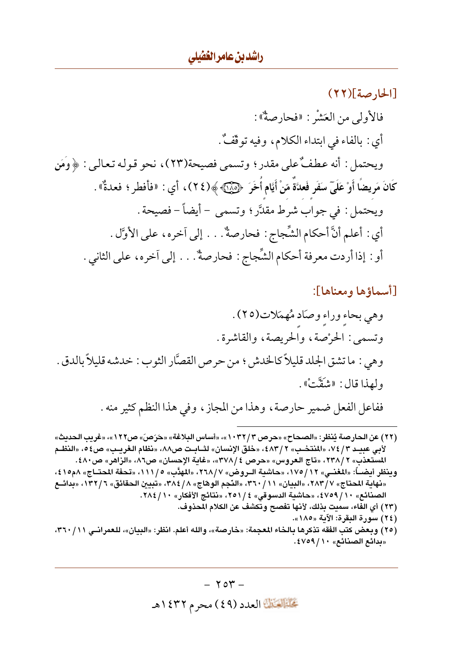[الحارصة](٢٢) فالأولى من العَشْر : «فحارصةٌ» : أي : بالفاء في ابتداء الكلام، وفيه توقَّفٌ. ويحتمل : أنه عطفٌ على مقدر ؛ وتسمى فصيحة(٢٣)، نحو قوله تعالى : ﴿وَمَنِ كَانَ مَرِيضًا أَوْ عَلَىٓ سَفَرٍ فَعلَّةً مّنْ أَيَّام أُخَرَ ۚ ۞۞۞ ﴾(٢٤)، أي : «فأفطر ؛ فعدةٌ» . ويحتمل : في جواب شرط مقدَّر ؛ وتسمى – أيضاً – فصيحة . أي : أعلم أنَّ أحكام الشِّجاج : فحارصةٌ. . . إلى اَخره، على الأوَّل . أو : إذا أردت معرفة أحكام الشِّجاج : فحارصةٌ. . . إلى آخره، على الثاني .

[أسماؤها ومعناها]:

(٢٢) عن الحارصة يُنظر: «الصحاح» «حرص ٣ / ١٠٣٢»، «أساس البلاغة» «حَرَصَ» ص١٢٢»، «غريب الحديث» لأبي عبيـد ٣ / ٧٤ ، «المنتخـب» ٢ / ٤٨٣، «خلق الإنسان» لثــابـت ص٨٨، «نظام الـغريـب» ص٥٤ ، «النظـم المستعذب» ٢ /٢٣٨، «تاج العروس» «حرص ٤ /٣٧٨»، «غاية الإحسان» ص٨٦، «الزاهر» ص٤٨٠. وينظر أيضــاً: «المغنــي» ١٢/ ١٧٥، «حاشية الــروض» ٢٦٨/٧، «المهدَّب» ١١١/ ، «تحفة المحتــاج» ٨م١٥؛ ٤، «نهاية المحتاج» ٢٨٣/٧، «البيان» ٣٦٠/١١، «النّجم الوهاج» ٣٨٤/٨، «تبيين الحقائق» ١٣٢/٦، «بدائــع الصنائع» ١٠/ ٤٧٥٩، «حاشية الدسوقي» ٤/ ٢٥١، «نتائج الأفكار» ١٠/ ٢٨٤. (٢٣) أي الفاء، سميت بذلك، لأنها تفصح وتكشف عن الكلام المحذوف. (٢٤) سورة البقرة: الآية «١٨٥». (٢٥) وبعض كتب الفقه تذكرها بالخاء المعجمة: «خارصة»، والله أعلم. انظر: «البيان»، للعمرانـي ١٦٠/١٦١، «بدائع الصنائع» ١٠/ ٤٧٥٩.

> $-704$ تحليله الله العدد (٤٩) محرم ١٤٣٢هـ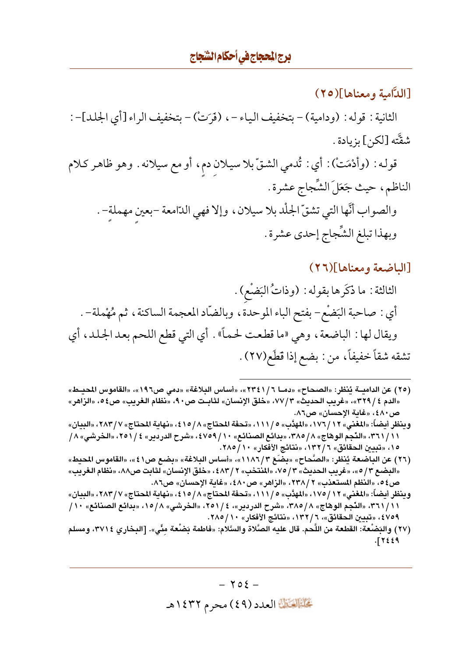[اللآامية ومعناها](٢٥)

الثانية : قوله : (ودامية) – بتخفيف الياء – ، (فَرَتْ) – بتخفيف الراء [أي الجلد] – : شقَّته [لكن] بزيادة .

قولـه : (وأدْمَتْ) : أي : تُدمي الشتّ بلا سيلان دم، أو مع سيلانه . وهو ظاهر كـلام الناظم، حيث جَعَلَ الشَّجاجِ عشرة . والصواب أنَّها التي تشقَّ الجلْد بلا سيلان ، وإلا فهي الدّامعة -بعين مهملة- . وبهذا تبلغ الشَّجاج إحدى عشرة .

#### [الباضعة ومعناها](٢٦)

الثالثة : ما ذكَرها بقوله : (وذاتُ البَضْع) . أي : صاحبة البَضْع- بفتح الباء الموحدة ، وبالضَّاد المعجمة الساكنة ، ثم مُهْملة- . ويقال لها : الباضعة ، وهي «ما قطعت لحماً» . أي التي قطع اللحم بعد الجلد، أي تشقه شقاً خفيفاً، من : بضع إذا قطَع(٢٧).

- (٢٥) عن الداميـــة يُنظر: «الصحاح» «دمــا ٢٣٤١/٦»، «أساس البلاغة» «دمي ص١٩٦»، «القاموس المحيــط» «الدم ٤ / ٣٢٩»، «غريب الحديث» ٧٧/٣، «خلق الإنسان» لثابـت ص٥٠، «نظام الغريب» ص٤٥، «الزاهر» ص٤٨٠، «غاية الإحسان» ص٨٦.
- وينظر أيضاً: «المغنى» ١٢ / ١٧٦، «المهدَّب» ٥ / ١١١، «تحفة المحتاج» ٨ / ١٥؛ ، «نهاية المحتاج» ٢٨٣/٧، «البيان» ٣٦١/١١، «النَّجم الوهاج» ٨/ ٣٨٥، «بدائع الصنائع» ١٠/ ٤٧٥٩، «شرح الدردير» ٤ / ٢٥١، «الخرشي» ٨/ ١٥، «تبيين الحقائق» ٦ / ١٣٢، «نتائج الأفكار» ١٠ / ٢٨٥.
- (٢٦) عن الباضعة يُنظر: «الصَّحاح» «بضَعَ ٣/١٨٦)»، «أساس البلاغة» «بضع ص٤١»، «القاموس المحيط» «البضع ٣/ ٥»، «غريب الحديث» ٣/ ٧٥، «المنتخب» ٢ / ٤٨٣، «خلق الإنسان» لثابت ص٨٨، «نظام الغريب» ص٤ه، «النظم المستعذب» ٢ /٢٣٨، «الزاهر» ص٤٨٠، «غابة الإحسان» ص٨٦.
- وينظر أيضاً: «المغني» ١٢ / ١٧٥، «المهدَّب» ١١١/ «تحفة المحتاج» ١/ ٤١٥، «نهاية المحتاج» ٢٨٣/٧، «البيان» ٣٦١/١١، «النَّجم الوهاج» ٨/ ٣٨٥، «شرح الدردير»، ٤/ ٢٥١، «الخرشي» ٨/ ١٥، «بدائع الصنائع» ١٠/ ٤٧٥٩، «تبيين الحقائق»، ٦ / ١٣٢، «نتائج الأفكار» ١٠ / ٢٨٥.
- (٢٧) والبَضْعة: القطعة من اللَّحم. قال عليه الصَّلاة والسَّلام: «فاطمة بَضْعة منِّى». [البخارى ٣٧١٤، ومسلم  $-17229$

 $-702-$ تَحَلَّمُ الْقَالِمَادِدِ (٤٩) محرِمِ ١٤٣٢هـ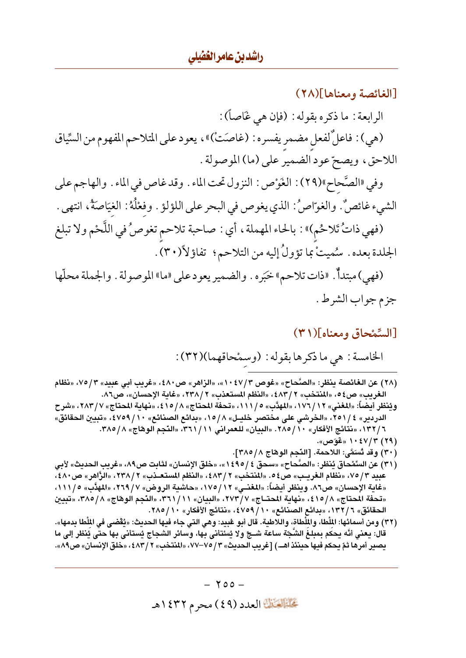### [الغائصة ومعناها](٢٨)

الرابعة : ما ذكره بقوله : (فإن هي غَاصاً) : (هي) : فاعلِّ لفعل مضمر يفسره : (غاصَتْ)» ، يعود على المتلاحم المفهوم من السِّياق اللاحق، ويصحّ عود الضمير على (ما) الموصولة .

وفي «الصَّحاح»(٢٩): الغَوْص : النزول تحت الماء . وقد غاص في الماء . والهاجم على الشيء غائصٌ. والغوّاصُ: الذي يغوص في البحر على اللؤلؤ . وفعْلُهُ: الغيَاصَةُ، انتهى . (فهي ذاتُ تَلاحُم)» : بالحاء المهملة ، أي : صاحبة تلاحم تغوصُ في اللَّحْم ولا تبلغ الجلدة بعده . سُميتْ بما تؤولُ إليه من التلاحم؟ تفاؤلأ(٣٠) .

(فهي) مبتدأٌ. «ذات تلاحم» خبَره . والضمير يعود على «ما» الموصولة . والجملة محلّها جزم جواب الشرط .

## [السِّمْحاق ومعناه](٣١)

- (٢٨ ) عن الـفـائصـة يـنـظر: «الـصَّحـاح» «غوص ٣ /٤٧ : ١ »، «الـزاهر» ص٤٨٠ ، «غريب أبـي عبيد» ٣ /٧٥، «نظام الغريب» ص٤٥، «المنتخب» ٤٨٣/٢، «النظم المستعذب» ٢ /٢٣٨، «غاية الإحسان»، ص٨٦.
- ويُنظر أيضاً: «المغنى» ١٧٦/١٢، «المهدَّب» ٥/ ١١١/ «تحفة المحتاج» ٨/ ٤١٥، «نهاية المحتاج» ٢٨٣/٧، «شرح الدردير» ٤ / ٢٥١، «الخرشي علي مختصر خليـل» ١٥/٨، «بدائع الصنائع» ١٠/ ٤٧٥٩، «تبيين الحقائق» ٦ / ١٣٢، «نتائج الأفكار» ١٠ / ٢٨٥. «البيان» للعمراني ٢١ / ٣٦١، «النَّجم الوهّاج» ٣٨٥/٨.
	- (۲۹) ۱۰٤۷/۳ «غَوَص».
	- (٣٠) وقد تُسَمَّى: اللاحمة. [النَّجم الوهاج ٢٨٥/٨].
- (٣١) عن السِّمْحاق يُنظر: «الصَّحاح» «سحق ٤ / ٤٩٥»، «خلق الإنسان» لثابت ص٨٩، «غريب الحديث» لأبي عبيد ٣/ ٧٥، «نظام الغريب» ص٤٥. «المنتخب» ٢ / ٤٨٣، «النظم المستعـذب» ٢ / ٢٣٨، «الرَّاهر» ص٤٨٠، «غاية الإحسان» ص٨٦. وينظر أيضاً: «المغنـي» ١٢/ ١٧٥، «حاشية الروض» ٢٦٩/٧، «المؤدِّب» ١١١/٥، «تحفة المحتاج» ٤١٥/٨، «نهاية المحتــاج» ٢٧٣/٧، «البيان» ٣٦١/١١، «النَّجم الوهاج» ٣٨٥/٨، «تبيين الحقائق» ٦ / ١٣٢، «بدائع الصنائع» ١٠ / ٤٧٥٩، «نتائج الأفكار» ١٠ / ٢٨٥.
- (٣٢) ومن أسمائها: الملْطا، والملْطاة، واللاطية. قال أبو عُبيد: وهي التي جاء فيها الحديث: «يُقْضي في الملْطا بدمها». قال: يعني أنَّه يحكم بمبلغ الشَّجّة ساعة شــجّ ولا يُسْتأنى بها، وسائر الشجاج يُستأنى بها حتى يُنظر إلى ما يصير أمرها ثمّ يحكم فيها حينئذ اهـــ) [غريب الحديث» ٣/ ٧٥–٧٧، «المنتخب» ٢ / ٤٨٣، «خلق الإنسان» ص٨٩».

 $-700-$ تحليله الله العدد (٤٩) محرم ١٤٣٢هـ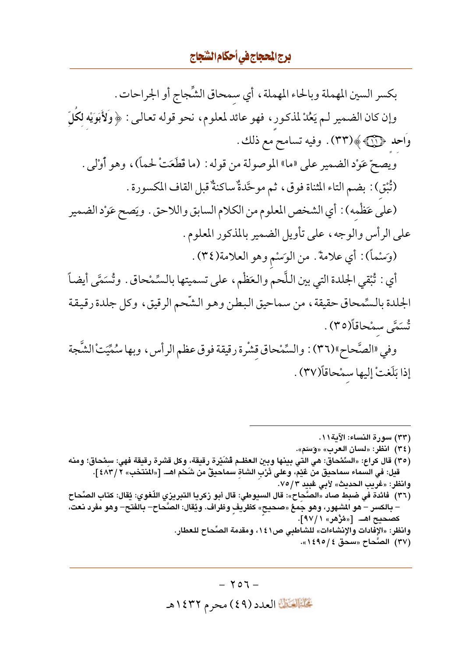بكسر السين المهملة وبالحاء المهملة، أي سمحاق الشِّجاج أو الجراحات . وإن كان الضمير لـم يَعُلْ لمذكور ، فهو عائد لمعلوم، نحو قوله تعالىي : ﴿ وَلَأَبَوَيْهِ لَكُلِّ وَاحِد ﴿ آيَا ﴾ (٣٣). وفيه تسامح مع ذلك . ويصحّ عَوْد الضمير على «ما» الموصولة من قوله : (ما قَطَعَتْ لحماً)، وهو أَوْلِي . (ثُبْقٍ) : بضم التاء المثناة فوقٍ، ثم موحَّدةٌ ساكنةٌ قبل القاف المكسورة . (على عَظْمه) : أي الشخص المعلوم من الكلام السابق واللاحق . ويَصح عَوْد الضمير على الرأس والوجه، على تأويل الضمير بالمذكور المعلوم. (وَسْماً): أي علامةً. من الوَسْم وهو العلامة(٣٤). أي : ثُبْقي الجلدة التي بين اللَّحم والعَظْم ، على تسميتها بالسِّمْحاق . وتُسَمَّى أيضاً الجلدة بالسِّمحاق حقيقة، من سماحيق البطن وهو الشَّحم الرقيق، وكل جلدة رقيقة تُسَمَّى سمْحاقاً(٣٥). وفي «الصَّحاح»(٣٦) : والسِّمْحاق قشْرة رقيقة فوق عظم الرأس ، وبها سُمِّيَتْ الشَّجة إذا بَلَغتْ إليها سمْحاقاً(٣٧) .

(٣٣) سورة النساء: الآية١١. (٣٤) انظر: «لسان العرب» «وَسَم». (٣٥) قال كراع: «السَّمْحاق: هي التي بينها وبين العظـم ڤشَيْرة رقيقة، وكل قشرة رقيقة فهي: سمْحاق؛ ومنه قيل: في السَّماء سماحيق منَّ عَيْمٌ، وعلى تَرْب الشاة سماحيقٌ من شَحْم اهــ. [«المنتخب» ٢ /٤٨٣]. وانظر: «غريب الحديث» لأبي غبيد ٧٥/٣. (٣٦) فائدة في ضبط صاد «الصَّحِاح»: قال السيوطي: قال أبو زكريا التبريزي اللّغوي: يُقال: كتاب الصِّحاح – بالكسر – هو المشهور، وهو جُمعُ «صحيح» كظريف وظراف. ويُقال: الصَّحاح– بالفتح– وهو مفرد نعت، كصحيح اهــ. [«مُرْهر» ١ /٩٧]. وانظر: «الإفادات والإنشاءات» للشاطبي ص٤١، ومقدمة الصِّحاح للعطار. (٣٧) الصَّحاح «سحق ٤ / ١٤٩٥».

> $-707-$ تَحَلَّمُ الْقَالِمَادِدِ (٤٩) محرِمِ ١٤٣٢هـ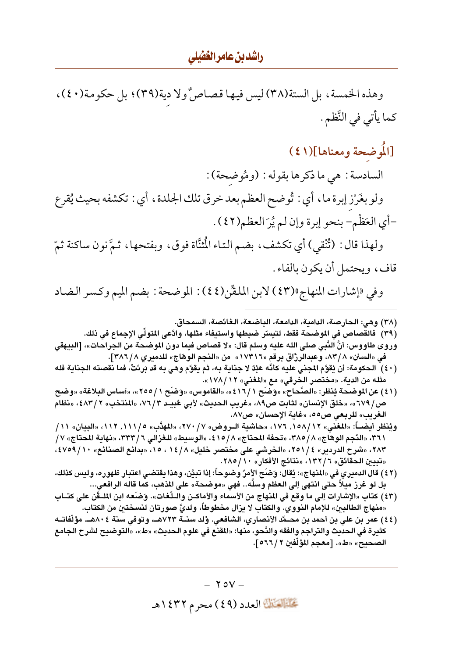راشدین عامر الغفیلی

وهذه الخمسة، بل الستة(٣٨) ليس فيها قصاصٌولا دية(٣٩)؛ بل حكومة(٤٠)، كما يأتي في النَّظم .

# [المُوضحة ومعناها](٤١)

السادسة : هي ما ذكرها بقوله : (ومُوضحة) : ولو بغَرْز إبرة ما، أي : تُوضح العظم بعد خرق تلك الجلدة، أي : تكشفه بحيث يُقرع -أي العَظْم- بنحو إبرة وإن لم يُرَ العظم(٤٢). ولهذا قال : (تُنْقيِ) أي تكشف، بضم التاء الْمُثَّاة فوق، وبفتحها، ثمَّ نون ساكنة ثمّ قاف، ويحتمل أن يكون بالفاء .

وفي «إشارات المنهاج»(٤٣) لابن الملقِّن(٤٤): الموضحة : بضم الميم وكسر الضاد

(٣٨) وهي: الحارصة، الدامية، الدامعة، الباضعة، الغائصة، السمحاق.

(٣٩) فالقصاص في الموضحة فقط، لتيسِّر ضبطها واستيفاء مثلها، وادَّعي المتولِّي الإجماع في ذلك.

- وروى طاووس: أنَّ النَّبي صلى الله عليه وسلم قال: «لا قصاص فيما دون الموضحة من الجراحات»، [البيهقي في «السنن» ٨٣/٨، وعبدالرزّاق برقم «١٧٣١٦» من «النجم الوهاج» للدميري ٣٨٦/٨].
- (٤٠) الحكومة: أن يُقوَّم المجنى عليه كأنَّه عَبْدٌ لا جناية به، ثم يقوَّم وهي به قد بَرئتْ، فما نقصته الجناية فله مثله من الدية. «مختصر الخرقي» مع «المغني» ١٢/ ١٧٨/ ».
- (٤١) عن الموضحة يُنظر: «الصَّحاح» «وَضَح ١ / ٤١٦»، «القاموس» «وَضَح ١ / ٢٥٥»، «أساس البلاغة» «وضح ص/ ٦٧٩»، «خلق الإنسان» لثابت ص٨٩، «غريب الحديث» لأبي عُبيـد ٧٦/٣، «المنتخب» ٢ /٤٨٣، «نظام الغريب» للربعي ص٥٥، «غاية الإحسان» ص٨٧.
- ويُنظر أيضــاً: «المغنى» ١٢/ ١٥٨, ١٧٦، «حاشية الــروض» ٧/ ٢٧٠، «المهدَّب» ٥/ ١١١, «البيان» ١١/ ١/ ٣٦١، «النَّجم الوهاج» ٢٨٥/٨، «تحفة المحتاج» ٨/ ٤١٥، «الوسيط» للغزالي ٣٣٣/٦، «نهاية المحتاج» ٧/ ٢٨٣، «شرح الدردير» ٤ / ٢٥١، «الخرشي علي مختصر خليل» ١٤ / ١٤ ، ١٥، «بدائع الصنائع» ١٠ / ٤٧٥٩، «تبيين الحقائق» ٦ / ١٣٢، «نتائج الأفكار» ١٠ / ٢٨٥.
- (٤٢) قال الدميري في «المنهاج»: يُقال: وَضَح الأمرُ وضوحاً: إذا تبيَّن، وهذا يقتضى اعتبار ظهوره، وليس كذلك، بل لو غرز ميلاً حتى انتهى إلى العظم وسلَّه.. فهي «موضحة» على المذهب، كما قاله الرافعي...
- (٤٣) كتاب «الإشارات إلى ما وقع في المنهاج من الأسماء والأماكـن والـلّـفات». وَضَعه ابن الملـقَن على كتــاب «منهاج الطالبين» للإمام النووي. والكتاب لا يزال مخطوطاً، ولديَّ صورتان لنسختين من الكتاب.
- (٤٤) عمر بن على بن أحمد بن محـمَّد الأنصاري، الشافعي. وُلد سنــة ٧٢٣هــ، وتوفي سنة ٨٠٤هــ. مؤلَّفاتــه كثيرة في الحديث والتراجم والفقه والنَّحو، منها: «المقنع في علوم الحديث» «ط»، «التوضيح لشرح الجامع الصحيح» «ط». [معجم المؤلِّفين ٢ / ٥٦٦].

 $\gamma$  ov  $-$ تحليله الله العدد (٤٩) محرم ١٤٣٢هـ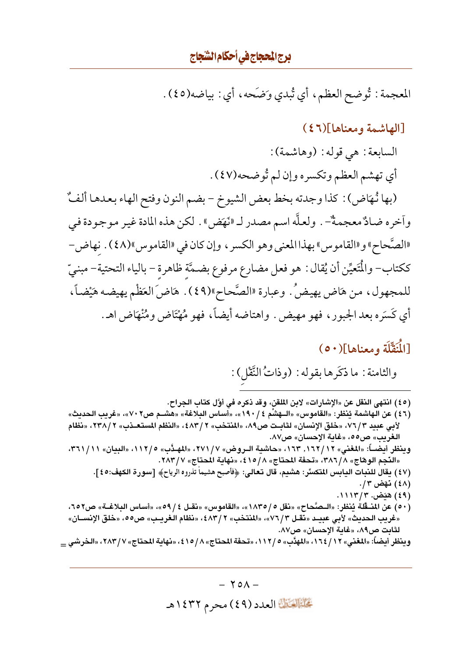المعجمة : تُوضح العظم، أي تُبدي وَضَحه، أي : بياضه(٤٥).

## [الهاشمة ومعناها](٤٦)

السابعة : هي قوله : (وهاشمة) :

أي تهشم العظم وتكسره وإن لم تُوضحه(٤٧) .

(بها نُهَاض) : كذا وجدته بخط بعض الشيوخ – بضم النون وفتح الهاء بعدها ألفٌ واَخره ضادٌ معجمةٌ— . ولعلّه اسم مصدر لـ «نَهَض » . لكن هذه المادة غير موجودة في «الصَّحاح» و«القاموس» بهذا المعنى وهو الكسر ، وإن كان في «القاموس»(٤٨) . نهاض-ككتاب- والْمَتَعِيِّن أن يُقال : هو فعل مضارع مرفوع بضمَّة ظاهرة – بالياء التحتية– مبنيِّ للمجهول، من هَاض يهيضُ. وعبارة «الصَّحاح»(٤٩). هَاض َالعَظْم يهيضه هَيْضاً، أي كَسَره بعد الجبور ، فهو مهيض . واهتاضه أيضاً، فهو مُهْتَاض ومُنْهَاض اهـ.

## [الْمُقَّلَة ومعناها](٥٠)

والثامنة : ما ذكَرِ ها بقوله : (وذاتُ النَّقْلِ) :

(٤٥) انتهى النقل عن «الإشارات» لابن الملقن، وقد ذكره في أوَّل كتاب الجراح.

- (٤٦) عن الهاشمة يُنظر: «القاموس» «الــهِشْم ١٩٠/٤»، «أساس البلاغة» «هشــم ص٧٠٧»، «غريب الحديث» لأبي عبيد ٧٦/٣، «خلق الإنسان» لثابت ص٨٩، «المنتخب» ٢ /٤٨٣، «النظم المستعــذب» ٢ /٢٣٨، «نظام الغريب» ص٥٥، «غاية الإحسان» ص٨٧.
- وينظر أيضـــاً: «المغني» ١٦٢/١٦٢, ١٦٣، «حاشية الــروض» ٧٧١/ ٢٧١، «المهـدَّب» ١١٢/٥، «البيان» ١١ / ٣٦١، «النَّجم الوهاج» ٣٨٦/٨، «تحفَّة المحتاج» ٩/٥/ ٤، «نهاية المحتاج» ٢٨٣/٧.
	- (٤٧) يقال للنبات اليابس المتكسِّر: هشيم، قال تعالى: ﴿فأصبح هشيماً تذروه الرياح﴾ [سورة الكهف:٤٥].
		- (٤٨) ئهض ١٣. (٤٩) هيَض. ١١١٣/٣.
- (٥٠) عن المنــقُلة يُنظر: «الــصَّحاح» «نقل ٥/ ١٨٣٥»، «القاموس» «نقـل ٤/ ٥٩»، «أساس البلاغــة» ص٢٥٢، «غريب الحديث» لأبي عبيــد «نقــل ٧٦/٣»، «المنتخب» ٢ /٤٨٣، «نظام الـغريــب» ص٥٥، «خلق الإنســان» لثابت ص٨٩، «غاية الإحسان» ص٨٧.

وينظر أيضاً: «المغنى» ١٦ / ١٦٤، «المهدَّب» ٥ / ١١٢، «تحفة المحتاج» ٨ / ٤١٥، «نهاية المحتاج» ٧ / ٢٨٣، «الخرشي \_

 $- \text{Y0A} -$ تَحَلَّمُ الْقَالِمَادِدِ (٤٩) محرِمِ ١٤٣٢هـ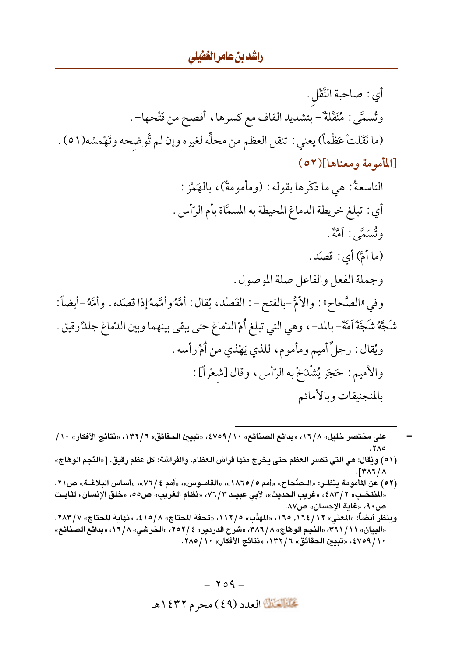راشدين عامر الغشلي

أي : صاحبة النَّقْل . وتُسمَّى : مُنَقِّلَةٌ – بتشديد القاف مع كسرها، أفصح من فَتْحها– . (ما نَقَلتْ عَظْماً) يعني : تنقل العظم من محلِّه لغيره وإن لم تُوضحه وتَهْمشه(٥١) . [المأمومة ومعناها](٥٢)

- على مختصر خليل» ١٦/٨، «بدائع الصنائع» ٤٧٥٩/١٠، «تبيين الحقائق» ٦/ ١٣٢/، «نتائج الأفكار» ١٠/ ٥٨٢. (٥١) ويُقال: هي التي تكسر العظم حتى يخرج منها فراش العظام. والفراشة: كل عظم رقيق. [«النَّجم الوهاج»
- $\int f^{\mu} \wedge \tau / \wedge$ (٥٢) عن المأمومة ينظـر: «الـصَّحاح» «أمم ٥/ ١٨٦٥»، «القامـوس»، «أمم ٤/ ٧٦»، «أساس البلاغــة» ص٢١،
- «المنتخب» ٢ /٤٨٣، «غريب الحديث»، لأبي عبيـد ٣ /٧٦، «نظام الغريب» ص٥٥، «خلق الإنسان» لثابـت ص٩٠، «غاية الإحسان» ص٨٧.
- وينظر أيضاً: «المغنى» ١٦٤/١٦، ١٦٥، «المهدَّب» ١١٢/٥، «تحفة المحتاج» ٨/٥/٤، «نهاية المحتاج» ٢٨٣/٧، «البيان» ٢٦١/١١»، «النَّجم الوهاج» ٣٨٦/٨، «شرح الدردير» ٤ /٢٥٢، «الخرشي» ١٦/٨، «بدائع الصنائع» ٤٧٥٩ / ٤٧٥٩، «تبيين الحقائق» ٦ / ١٣٢، «نتائج الأفكار» ٢٨٥ / ٢٨٥.

 $-709-$ تحليله العدد (٤٩) محرم ١٤٣٢هـ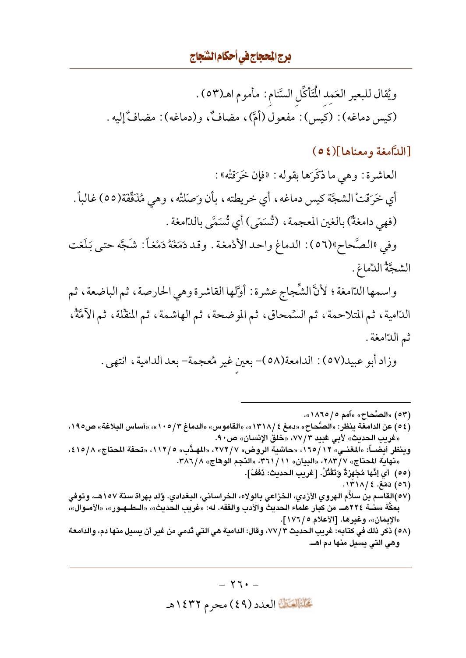ويُقال للبعير العَمِد الْمَتَأَكِّل السَّنام : مأموم اهـ(٥٣) . (كيس دماغه) : (كيس) : مفعول (أمَّ)، مضافٌ، و(دماغه) : مضافٌ إليه .

### [الدَّامغة ومعناها](٥٤)

العاشرة : وهي ما ذكَرَها بقوله : «فإن خَرَقتْه» : أي خَرَقْتْ الشَّجَّة كيس دماغه، أي خريطته، بأن وَصَلتْه، وهي مُذَقِّقَة(٥٥) غالباً . (فهي دامغةٌ) بالغين المعجمة ، (تُسَمّى) أي تُسَمَّى بالدّامغة .

وفي «الصَّحاح»(٥٦): الدماغ واحدالأدْمغة . وقد دَمَغَهُ دَمْغاً: شَجَّه حتى بَلَغت الشجَّةُ الدِّماغِ .

واسمها الدّامغة ؛ لأنَّ الشَّجاج عشرة : أوَّلها القاشرة وهي الحارصة ، ثم الباضعة ، ثم الدّامية، ثم المتلاحمة، ثم السِّمحاق، ثم الموضحة، ثم الهاشمة، ثم المنقِّلة، ثم الأمَّةُ، ثم الدّامغة .

وزاد أبو عبيد(٥٧) : الدامعة(٥٨)- بعين غير مُعجمة- بعد الدامية، انتهى .

- (٥٣) «الصَّحاح» «أمم ٥/ ١٨٦٥». (٥٤) عن الدامغة ينظر: «الصَّحاح» «دمغ ١٣١٨/٤»، «القاموس» «الدماغ ١٣/٥/٣»، «أساس البلاغة» ص١٩٥، «غريب الحديث» لأبي عُبيد ٧٧/٣، «خلق الإنسان» ص٩٠. وينظر أيضـــاً: «المغنــي» ١٦٥/١٢، «حاشية الروض» ٧٧٢/٧، «المهـدَّب» ١١٢/٥، «تحفة المحتاج» ٨/١٥/٤، «نهاية المحتاج» ٢٨٣/٧، «البيان» ٢٦١/١١، «النّجم الوهاج» ٢٨٦/٨. (٥٥) أي إنَّها مُجْهزةٌ وَتَقْتُلْ. [غريب الحديث: دَفَفَ]. (٥٦) دَمَغَ. ١٣١٨/٤.
- (٥٧)القاسم بن سلاَّم الهروي الأزدي، الخزاعي بالولاء، الخراساني، البغدادي. وُلد بهراة سنة ١٥٧هـ، وتوفي بِمكَّة سنــة ٢٢٤هــ. من كبار علماء الحديث والأدب والفقه. له: «غريب الحديث»، «الــطــهـور»، «الأمــوال»، «الإيمان»، وغيرها. [الأعلام ٥ / ١٧٦].
- (٥٨) ذكر ذلك في كتابه: غريب الحديث ٧٧/٣، وقال: الدامية هي التي تُدمى من غير أن يسيل منها دم، والدامعة وهي التي يسيل منها دم اهـ.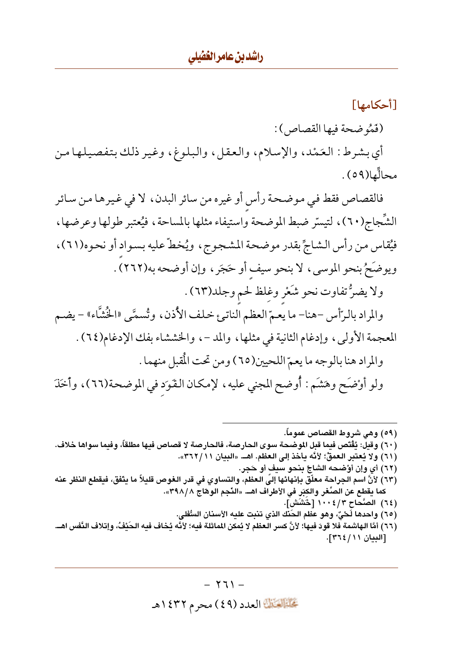[أحكامها] (فَمُو ضحة فيها القصاص) : أي بشرط: العَمْد، والإسلام، والعقل، والبلوغ، وغير ذلك بتفصيلها من محالِّها(٥٩).

فالقصاص فقط في موضحة رأس أو غيره من سائر البدن، لا في غيرها من سائر الشُّجاج(٦٠)، لتيسَّر ضبط الموضحة واستيفاء مثلها بالمساحة، فيُعتبر طولها وعرضها، فيُقاس من رأس الشاجِّ بقدر موضحة المشجوج، ويُخطَّ عليه بسواد أو نحوه(٦١)، ويوضَحٌ بنحو الموسى، لا بنحو سيف أو حَجَرٍ ، وإن أوضحه به(٢٦٢). ولا يضرُّ تفاوت نحو شَعْر وغلظ لحم وجلد(٦٣). والمراد بالرّأس -هنا- ما يعمّ العظم الناتئ خلف الأذن، وتُسمَّى «الخُشَّاء» - يضم المعجمة الأولى، وإدغام الثانية في مثلها، والمد -، والخششاء بفك الإدغام(٢٤). والمراد هنا بالوجه ما يعمّ اللحيين(٦٥) ومن تحت الْمقبل منهما . ولو أوْضَحٍ وهَشَمٍ : أُوضح المجني عليه، لإمكان القَوَد في الموضحة(٦٦)، وأخَذَ

(٥٩) وهي شروط القصاص عموماً. (٦٠) وقيل: يُقْتص فيما قبل الموضحة سوى الحارصة، فالحارصة لا قصاص فيها مطلقاً، وفيما سواها خلاف. (٦١) ولا يُعتبر العمقُ؛ لأنَّه يأخذ إلى العظم. اهــ. «البيان ٢٦٢/١١». (٦٢) أي وإن أوْضحه الشاجِّ بنحو سبف أو حَجر. (٦٣) لأنَّ اسم الجراحة معلِّق بإنهائها إليّ العظم، والتساوي في قدر الغوص قليلاً ما يتَّفق، فيقطع النظر عنه كما يقطع عن الصِّغر والكبَر في الأطراف اهــ. «النَّجم الوهّاج ٣٩٨/٨». (٦٤) الصَّحاح ١٠٠٤/٣ [حَشَش]. (٦٥) واحدها لَحْيٌ، وهو عظم الحَنّك الذي تنبت عليه الأسنان السُّفلي. (٦٦) أمَّا الهاشمة فلا قودَ فيها؛ لأنَّ كسر العظم لا يُمكن الماثلة فيه؛ لأنَّه يُخاف فيه الحَيْفُ، وإتلاف النّفس اهــ. [البيان ١١/ ٢٦٤].

> $-1771 -$ تحليله الله العدد (٤٩) محرم ١٤٣٢هـ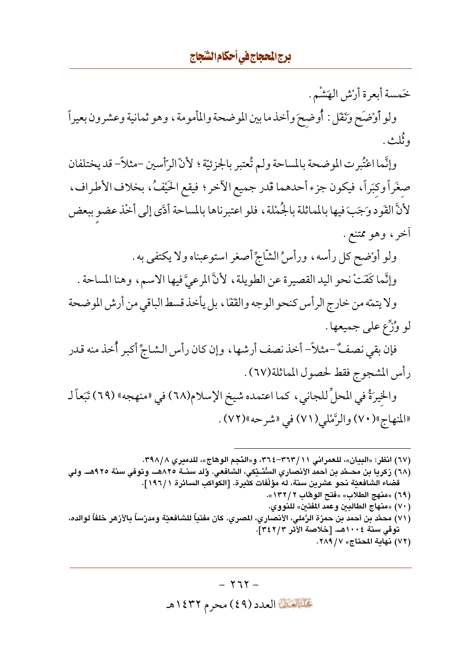خَمسة أبعرة أرْش الهَشْم . ولو أوْضَح وَنَقَل : أُوضحَ وأخذ ما بين الموضحة والمأمومة ، وهو ثمانية وعشرون بعيراً و ٽُلث .

وإنَّما اعْتُبرت الموضحة بالمساحة ولم تُعتبر بالجزئيَّة ؛ لأنّ الرّأسين –مثلاً– قد يختلفان صغَراً وكبَراً، فيكون جزء أحدهما قدر جميع الأخر ؛ فيقع الحَيْفُ، بخلاف الأطراف، لأنَّ القَود وَجَبَ فيها بالمماثلة بالجُمْلة، فلو اعتبرناها بالمساحة أدَّى إلى أخْذ عضو ببعض أخر، وهو ممتنع.

ولو أوْضح كل رأسه، ورأسُ الشَّاجِّ أصغر استوعبناه ولا يكتفي به . وإنَّما كَفَتْ نحو اليد القصيرة عن الطويلة ، لأنَّ المرعيَّ فيها الاسم ، وهنا المساحة .

ولا يتمّه من خارج الرأس كنحو الوجه والقَفَا، بل يأخذ قسط الباقي من أرش الموضحة لو وُزَّع على جميعها .

فإن بقي نصفٌ –مثلاً– أخذ نصف أرشها ، وإن كان رأس الشاجِّ أكبر أُخذ منه قدر رأس المشجوج فقط لحصول المماثلة(٦٧) .

والخيرَةُ في المحلِّ للجاني، كما اعتمده شيخ الإسلام(٦٨) في «منهجه» (٦٩) تَبَعاً لـ «المنهاج»(٧٠) والرَّمْلي(٧١) في «شرحه»(٧٢) .

(٦٧) انظر: «البيان»، للعمراني ٢٦٣/١١-٣٦٤، و«النّجم الوهاج»، للدميري ٣٩٨/٨.

(٦٨) زكريا بن محــمَّد بن أحمد الأنصارى السُّنَــيْكي، الشافعي. وُلد سنــة ٨٢٥هــ. وتوفي سنة ٩٢٥هــ. ولي قضاء الشافعيّة نحو عشرين سنة، له مؤلّفات كثيرة. [الكواكب السائرة ١٩٦/١].

> (٦٩) «منهج الطلاب» «فتح الوهَّاب ٢ / ١٣٢». ( ٧٠ ) «منهاج الطالبين وعمد المفتين» للنووي.

(٧١) محمَّد بن أحمد بن حمزة الرَّملي، الأنصاري، المصري. كان مفتياً للشافعيّة ومدرّساً بالأزهر خلفاً لوالده، توفى سنة ١٠٠٤هـ. [خلاصة الأثر ٣٤٢/٣].

(٧٢) نهاية المحتاج» ٢٨٩/ ٢٨٩.

 $- YTY -$ تَحَلَّمُ الْقَالِمَادِدِ (٤٩) محرِمِ ١٤٣٢هـ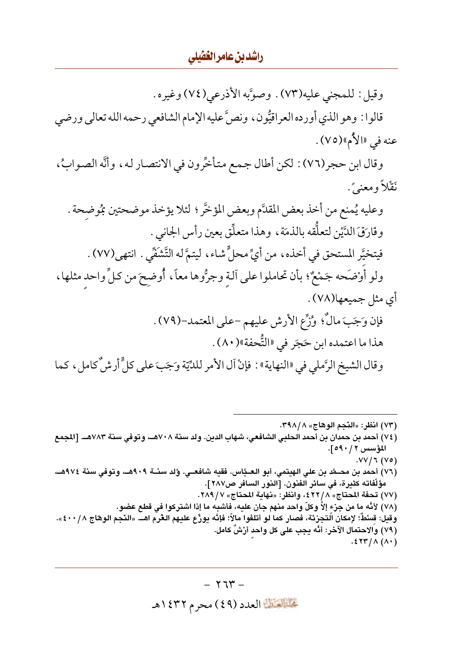#### راشدين عامر الغفيلي

وقيل: للمجنى عليه(٧٣). وصوَّبه الأذرعي(٧٤) وغيره. قالوا : وهو الذي أورده العراقيُّون ، ونصَّ عليه الإمام الشافعي رحمه الله تعالى ورضي عنه في «الأم»(٧٥) . وقال ابن حجر(٧٦) : لكن أطال جمع متأخِّرون في الانتصار له، وأنَّه الصوابُ، نَقْلاً ومعنىً . وعليه يُمنع من أخذ بعض المقلَّم وبعض المؤخَّر ؛ لئلا يؤخذ موضحتين مُمُوضحة . وفَارَقَ الدَّيْنِ لتعلَّقه بِالذِّمَةِ، وهذا متعلِّق بعين رأس الجاني . فيتخيَّر المستحق في أخذه، من أيِّ محلٍّ شاء، ليتمَّ له التَّشَفِّي . انتهى(٧٧) . ولو أوْضَحه جَمْعٌ؛ بأن تحاملوا على آلـة وجرُّوها معاً، أُوضِحَ من كلِّ واحد مثلها، أي مثل جميعها(٧٨) . فإن وَجَبَ مالٌّ؛ وْزُّعِ الأرش عليهم -على المعتمد-(٧٩) . هذا ما اعتمده ابن حَجَر في «التُّحفة»(٨٠) . وقال الشيخ الرَّملي في «النهاية» : فإنْ آل الأمر للدِّيّة وَجَبَ على كلٍّ أرشُّ كامل ، كما

(٧٣) انظر: «النَّجم الوهّاج» ٢٩٨/٨. (٧٤) أحمد بن حمدان بن أحمد الحلبي الشافعي، شهاب الدين. ولد سنة ٧٠٨هـ، وتوفي سنة ٧٨٣هـ. [المجمع المؤسس ٢ / ٥٩٠].  $.VV/T(V0)$ (٧٦) أحمد بن محـمَّد بن علي الهيتمي، أبو العـبَّاس. فقيه شافعـي. وُلد سنــة ٩٠٩هـ، وتوفي سنة ٩٧٤هـ، مؤلَّفاته كثيرة، في سائر الفنون. [النور السافر ص٢٨٧]. (٧٧) تحفة المحتاج» ٤٢٢/٨، وانظر: «نهاية المحتاج» ٢٨٩/٧. (٧٨) لأنَّه ما من جزء إلاَّ وكلّ واحد منهم جان عليه، فأشبه ما إذا اشتركوا في قطع عضو. وقيل: قسْطٌ؛ لإمكان الُتجزئة، فصار كما لو أتلفوا مالاً؛ فإنَّه يوزِّع عليهم الغُرم اهــ. «النَّجم الوهاج ٨ / ٤٠٠». (٧٩) والاحتمال الآخر: أنَّه يجب على كل واحد أرْشٌ كامل.  $.5547/(\Lambda(1))$ 

> $-774$ تحليله الله العدد (٤٩) محرم ١٤٣٢هـ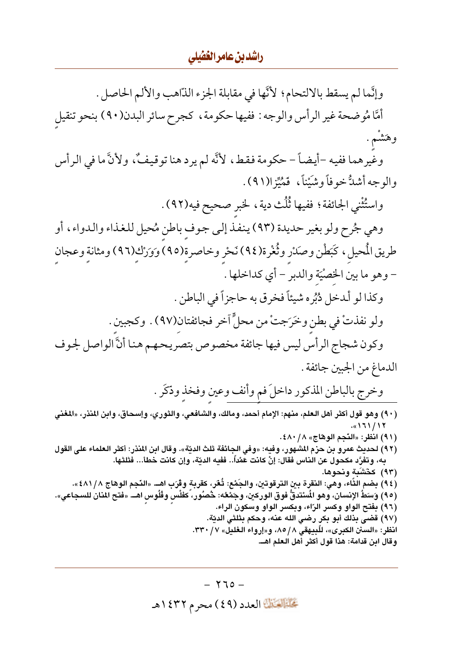<u>راشدين عامر الغضلي</u>

وإنَّما لم يسقط بالالتحام؛ لأنَّها في مقابلة الجزء الذَّاهب والألم الحاصل . أمَّا مُوضحة غير الرأس والوجه : ففيها حكومة ، كجرح سائر البدن(٩٠) بنحو تنقيل وهَشْم . وغِّيرهما ففيه –أيضـاً – حكومة فقط، لأنَّه لم يرد هنا توقيفٌ، ولأنَّ ما في الرأس والوجه أشدُّ خوفاً وشَيْناً، ۖ فَمُيِّزا(٩١). واستُثْني الجائفة؛ ففيها ثُلُث دية، لخبر صحيح فيه(٩٢). وهي جُرح ولو بغير حديدة (٩٣) ينفذ إلى جوف باطن مُحيل للغذاء والدواء، أو طريق الْمحيل ، كَبَطْن وصَدْر وثُغْرة(٩٤) نَحْر وخاصرة(٩٥) وَوَرْك(٩٦) ومثانة وعجان - وهو ما بين الخصْيَة والدبر - أي كداخلها . وكذا لو ألدخل دُبُره شيئاً فخرق به حاجزاً في الباطن . ولو نفذتْ في بطن وخرَجتْ من محلٍّ أخر فجائفتان(٩٧) . وكجبين . وكون شجاج الرأس ليس فيها جائفة مخصوص بتصريحهم هنا أنَّ الواصل لجوف الدماغ من الجبين جائفة . وخرج بالباطن المذكور داخلَ فم وأنف وعين وفخذ وذكَر . ( ٩٠) وهو قول أكثر أهل العلم، منهم: الإمام أحمد، ومالك، والشافعي، والثوري، وإسحاق، وابن المنذر، «المغني  $.$ «171/17 (٩١) انظر: «النَّجم الوهاج» ٨/ ٤٨٠. (٩٢) لحديث عمرو بن حزم المشهور، وفيه: «وفي الجائفة ثلث الديّة». وقال ابن المنذر: أكثر العلماء على القول به، وتفرَّد مكحول عن الناس فقال: إنْ كانت عشاً.. ففيه الديّة، وإن كانت خطأ... فثلثها. (٩٣) كَتَشَبّهْ ونحوها. (٩٤) بضم الثَاء، وهي: النقرة بين الترقوتين، والجَمْع: ثُعَر، كقربة وڤرَب اهــ. «النّجم الوهاج ٤٨١/٨». (٩٥) وَسَطُ الإنسان، وهو المُسْتدقُّ فوق الوركين، وجَمْعُه: حُصُور، َكفلْس وفُلُوس اهــ. «فتح المنان للسجاعي». (٩٦) بفتح الواو وكسر الرّاء، وبكسر الواو وسكون الراء. (٩٧) قضي بذلك أبو بكر رضى الله عنه، وحكم بثلثى الديّة. انظر: «السنن الكبرى»، للَّبِيهقي ٨٥/٨، و«إرواء الـغليل» ٣٢٠/٧. وقال ابن قدامة: هذا قول أكثر أهل العلم اهــ.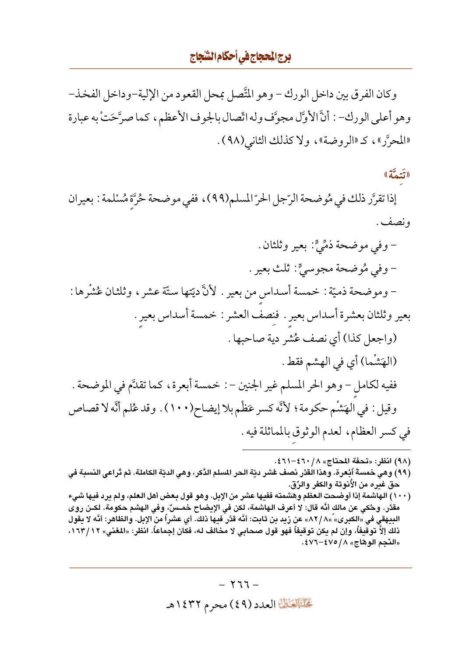وكان الفرق بين داخل الورك – وهو المَّصل بمحل القعود من الإلية–وداخل الفخذ– وهو أعلى الورك- : أنَّ الأوَّل مجوَّف وله اتَّصال بالجوف الأعظم، كما صرَّحَتْ به عبارة «المحرَّر»، كـ «الروضة»، ولا كذلك الثاني (٩٨) .

## (تَتَمَّة))

إذا تقرَّر ذلك في مُوضحة الرَّجل الحرّ المسلم(٩٩)، ففي موضحة حُرَّة مُسْلمة : بعيران و نصف .

- وفي موضحة ذمِّيٍّ: بعير وثلثان . - وفي مُوضحة مجوسيٍّ: ثلث بعير . – وموضحة ذميّة : خمسة أسداس من بعير . لأنَّ ديّتها ستّة عشر ، وثلثان عُشْرها : بعير وثلثان بعشرة أسداس بعير . فنصف العشر : خمسة أسداس بعير . (واجعل كذا) أي نصف عُشر دية صاحبها . (الهَشْما) أي في الهشم فقط . ففيه لكامل - وهو الحر المسلم غير الجنين - : خمسة أبعرة، كما تقدَّم في الموضحة . وقيل : في الهَشْم حكومة ؛ لأنَّه كسر عَظْم بلا إيضاح(١٠٠) . وقد عُلم أنَّه لا قصاص في كسر العظام، لعدم الوثوق بالمماثلة فيه .

(٩٨) انظر: «تحفة المحتاج» ٨/ ٤٦٠-٤٦١.

- (٩٩) وهي خمسةُ أبْعرة. وهذا القدْر نصف عُشر ديّة الحر المسلم الدَّكر، وهي الديّة الكاملة. ثم تْراعى النسبة في حق غيره من الأنوثة والكفر والرِّق.
- (١٠٠) الهاشمة إذا أوضحت العظم وهشمته ففيها عشر من الإبل. وهو قول بعض أهل العلم، ولم يرد فيها شيء مقدَّر. وحُكي عن مالك أنَّه قال: لا أعرف الهاشمة، لكن في الإيضاح خمـسٌّ، وفي الهشم حكومة. لكـن روى البِيهقي في «الكبرى» ّ«٨٢/٨» عن زيد بن ثابت: أنَّه قدَّر فيها ذلك. أي عشراً من الإبل. والظاهر: أنَّه لا يقول ذلك إلاّ توقيفاً، وإن لم يكن توقيفاً فهو قول صحابي لا مخالف له، فكان إجماعاً. انظر: «المغني» ١٦٣/١٢، «النّجم الوهاج» ١/ ٤٧٥-٤٧٦.

 $-777-$ تَحَلَّمُ الْقَالِمَادِدِ (٤٩) محرِمِ ١٤٣٢هـ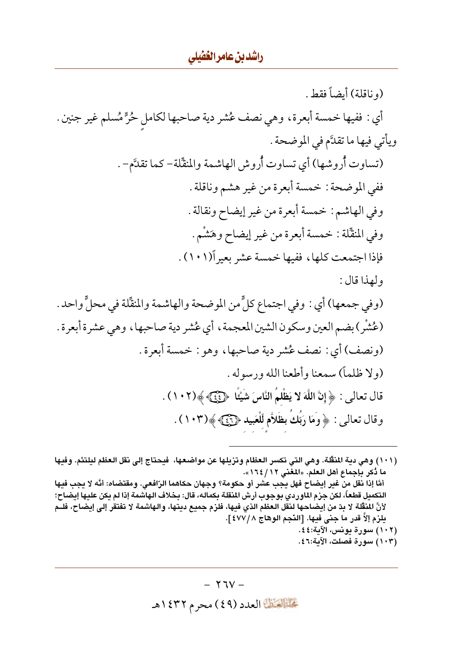(و ناقلة) أيضاً فقط . أي : ففيها خمسة أبعرة، وهي نصف عُشر دية صاحبها لكامل حُرٍّ مُسلم غير جنين . ويأتي فيها ما تقدَّم في الموضحة . (تساوت أُروشها) أي تساوت أُروش الهاشمة والمنقّلة– كما تقدَّم– . ففي الموضحة : خمسة أبعرة من غير هشم وناقلة . وفي الهاشم: خمسة أبعرة من غير إيضاح ونقالة . وفي المنقَّلة : خمسة أبعرة من غير إيضاح وهَشْم . فإذا اجتمعت كلها، ففيها خمسة عشر بعير أ(١٠١). ولهذا قال: (وفي جمعها) أي : وفي اجتماع كلٍّ من الموضحة والهاشمة والمنقِّلة في محلٍّ واحد . (عُشْرٍ ) بضم العين وسكون الشين المعجمة ، أي عُشر دية صاحبها ، وهي عشرة أبعرة . (ونصف) أي : نصف عُشر دية صاحبها، وهو : خمسة أبعرة . (ولا ظلماً) سمعنا وأطعنا الله و د سوله . قال تعالى : ﴿ إِنَّ اللَّهَ لا يَظْلَمُ النَّاسَ شَيْئًا ۚ ﴿ يَمْنَ ﴾ ﴾(١٠٢) . وقال تعالى : ﴿ وَمَا رَبَّكَ بِظَلَاَّمِ لِّلْعَبِيدِ ﴿ يَ ﴾(١٠٣) .

(١٠١) وهي دية المنقَّلة. وهي التي تكسر العظام وتزيلها عن مواضعها، فيحتاج إلى نقل العظم ليلتئم. وفيها ما دُكر بإجماع أهل العلم. «المغنى ١٢/ ١٦٤». أمَّا إذا نقل من غير إيضاح فهل يجب عشر أو حكومة؟ وجهان حكاهما الرّافعي. ومقتضاه: أنَّه لا يجب فيها التكميل قطعاً، لكن جزم الماوردي بوجوب أرش المنقلة بكماله، قال: بخلاف الهاشمة إذا لم يكن عليها إيضاح؛ لأنَّ المنقَّلة لا بدّ من إيضاحها لنقل العظم الذي فيها، فلزم جميع ديتها، والهاشمة لا تفتقر إلى إيضاح، فلــم يلزم إلاّ قدر ما جني فيها. [النّجم الوهاج ٤٧٧/٨]. (١٠٢) سورة يونس، الآية:٤٤. (١٠٣) سورة فصلت، الآية:٤٦؛

> $- YUV -$ تحليله الله العدد (٤٩) محرم ١٤٣٢هـ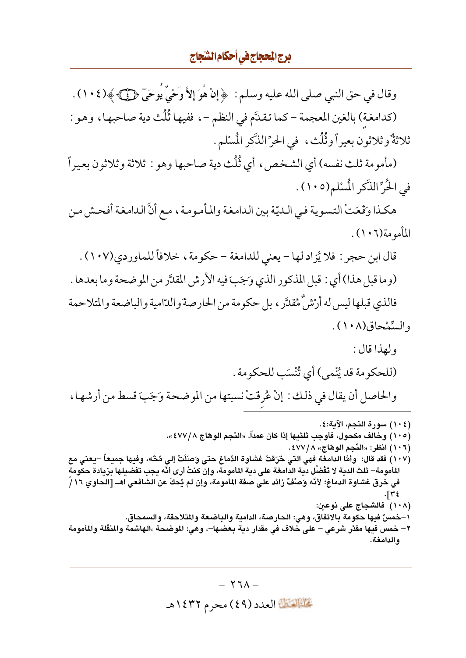وقال في حق النبي صلى الله عليه وسلم : ﴿ إِنْ هُوَ إِلاَّ وَحْيٌ يُوحَىٓ ﴿ كَلَّ ﴾(١٠٤) . (كدامغة) بالغين المعجمة – كما تقدَّم في النظم – ، ففيها ثُلُث دية صاحبها ، وهو : ثلاثةٌ وثلاثون بعيراً وثُلُث، في الحرِّ الذَّكر الْمسْلم.

(مأمومة ثلث نفسه) أي الشخص، أي ثُلُث دية صاحبها وهو : ثلاثة وثلاثون بعيراً في الْحُرِّ الذَّكرِ الْمُسْلَمِ(١٠٥) .

هكذا وَقَعَتْ التسوية في الـديّة بين الدامغة والمأمومة، مع أنَّ الدامغة أفحش من المأمو مة(١٠٦).

قال ابن حجر : فلا يُزاد لها – يعني للدامغة – حكومة ، خلافاً للماوردي(١٠٧) . (وما قبل هذا) أي : قبل المذكور الذي وَجَبَ فيه الأرش المقدَّر من الموضحة وما بعدها . فالذي قبلها ليس له أرْشْ هْقْدَّر ، بل حكومة من الحارصة والدّامية والباضعة والمتلاحمة والسَّمْحاق(١٠٨) .

- ولهذا قال: (للحكومة قد يُنْمى) أي تُنْسَب للحكومة . والحاصل أن يقال في ذلك : إنْ عُرِفَتْ نسبتها من الموضحة وَجَبَ قسط من أرشها ،
- (١٠٤) سورة النجم، الآية:٤. (١٠٥) وخالف مكحول، فأوجب ثلثيها إذا كان عمداً. «النَّجم الوهاج ٤٧٧/٨». (١٠٦) انظر: «النَّجِم الوهَّاج» ٤٧٧/٨. (١٠٧) فقد قال: وأمَّا الدامغة فهي التي حْرَقتْ غشاوة الدِّماغ حتى وَصَلَتْ إلى مُحَّه، وفيها جميعاً –يعني مع المأمومة– ثلث الدية لا تَقْضُل دية الدامغة على دية المأمومة، وإن كنتُ أرى أنَّه يجب تفضيلها بزيادة حكومة في خرق غشاوة الدماغ؛ لأنَّه وَصلْفٌ زائد على صفة المأمومة، وإن لم يُحكَ عن الشافعي اهــ [الحاوي ١٦/ أ }۳۴ (١٠٨) فالشجاج على نوعين: ١–خمسٌ فيها حكومة بالاتفاق، وهي: الحارصة، الدامية والباضعة والمتلاحقة، والسمحاق. ٢– خمس فدها مقدَّر شرعي – على خلاف في مقدار دنة بعضها–، وهي: الموضحة ،الهاشمة والمنقَّلة والمأمومة والدامغة.

 $- Y I \Lambda -$ تَحَلَّمُ الْقَالِمَادِدِ (٤٩) محرِمِ ١٤٣٢هـ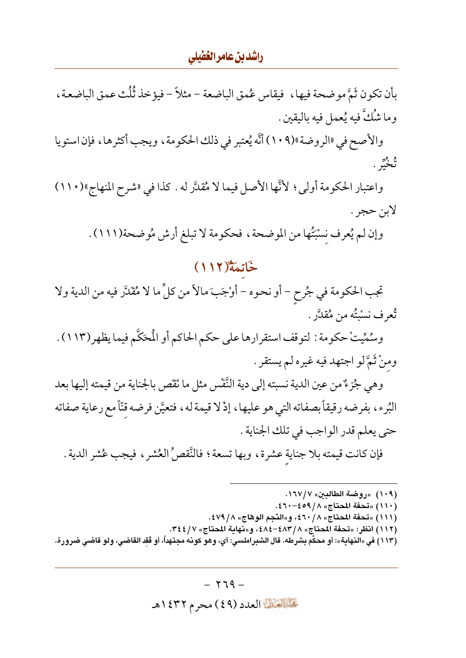### راشدين عامر الغضلي

بِأن تكون ثَمَّ موضحة فيها، ۖ فيقاس عُمق الباضعة – مثلاً – فيؤخذ ثُلُث عمق الباضعة ، وما شُكَّ فيه يُعمل فيه باليقين .

والأصح في «الروضة»(١٠٩) أنَّه يُعتبر في ذلك الحكومة ، ويجب أكثرها ، فإن استويا و ور<br>تحب .

واعتبار الحكومة أولى، لأنَّها الأصل فيما لا مُقدَّر له . كذا في «شرح المنهاج»(١١٠) لابن حجر .

وإن لم يُعرف نسْبَتُها من الموضحة ، فحكومة لا تبلغ أرش مُوضحة(١١١١) .

## خَاتِمَةٌ (١١٢)

تجب الحكومة في جُرح – أو نحوه – أوْجَبَ مالاً من كلِّ ما لا مُقَدَّر فيه من الدية ولا تُعرف نسْبَتُه من مُقلَّر .

وسُمِّيتْ حكومة : لتوقف استقرارها على حكم الحاكم أو الْمحَكَّم فيما يظهر (١١٣) . ومنْ ثَمَّ لو اجتهد فيه غيره لم يستقر .

وهي جُزءٌ من عين الدية نسبته إلى دية النَّفْس مثل ما نَقَص بالجناية من قيمته إليها بعد البُرء، بفرضه رقيقاً بصفاته التي هو عليها، إذْ لا قيمة له، فتعيَّن فرضه قنَّا مع رعاية صفاته حتى يعلم قدر الواجب في تلك الجناية .

فإن كانت قيمته بلا جناية عشرة، وبها تسعة؛ فالنَّقصُ العُشر ، فيجب عُشر الدية .

(١٠٩) «روضة الطالبين» ١٦٧/٧. (١١٠) «تحفة المحتاج» ٨/ ٤٩٩-٤٦٠. (١١١) «تحفة المحتاج» ٤٦٠/٨، و«النَّجم الوهاج» ٤٧٩/ ٤٧٩. (١١٢) انظر: «تحفة المحتاج» ٤٨٤–٤٨٤، و«نهاية المحتاج» ٣٤٤/٧. (١١٣) في «النهاية»: أو محكَّم بشرطه. قال الشبراملسي: أي، وهو كونه مجتهداً، أو فُقد القاضي، ولو قاضي ضرورة.

> $-779-$ تحليل العدد (٤٩) محرم ١٤٣٢هـ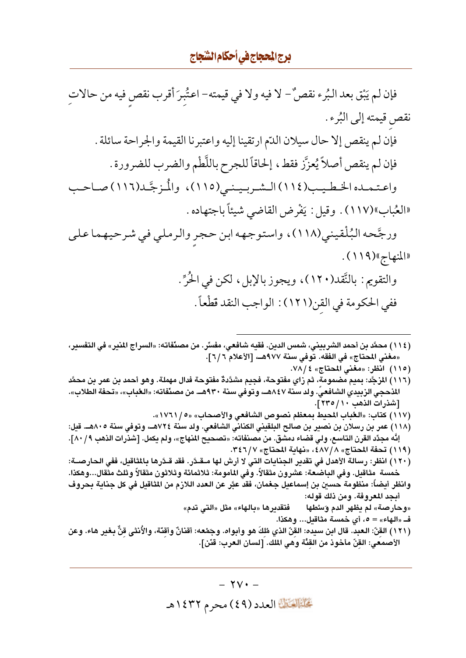# <mark>برج المحجاج في أحكام الشجاج</mark>

(١٢١) القِنّ: الـعبد. قال ابن سيده: القِّنّ الذي مُلِكَ هو وأبواه. وجَمْعه: أقنانٌ وأقِنّة، والأُنثى قِنٌّ بغير هاء. وعن الأصمعَي: القِنّ مأخوذ من القِنّة وهي الملّك. [لسان العرب: قنّن].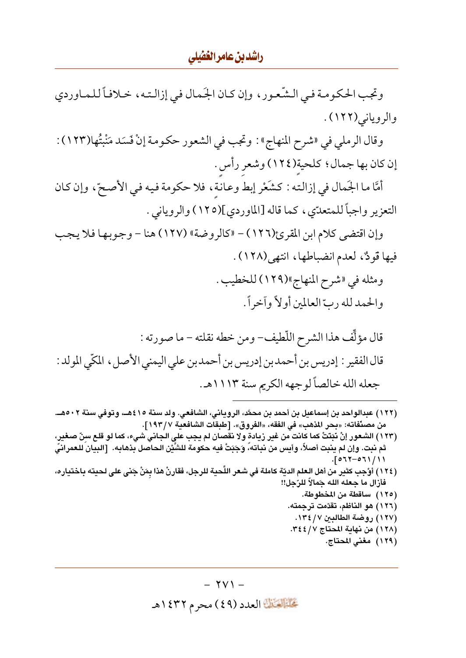#### راشدین عامر الغفیلی

وتجب الحكومة في الشّعور ، وإن كـان الجَمال في إزالتـه، خـلافاً للمـاوردي والروياني(١٢٢).

وقال الرملي في «شرح المنهاج» : وتجب في الشعور حكومة إنْ فَسَد مَنْبتُها(١٢٣) : إن كان بها جمال؟ كلحية(١٢٤) وشعر رأس .

أمَّا ما الجَمال في إزالته : كشَعْر إبط وعانة، فلا حكومة فيه في الأصحّ، وإن كان التعزير واجباً للمتعدّي، كما قاله [الماوردي](١٢٥) والروياني .

وإن اقتضى كلام ابن المقرئ(١٢٦) - «كالروضة» (١٢٧) هنا - وجوبها فلا يجب فيها قودٌ، لعدم انضباطها، انتهى(١٢٨).

> ومثله في «شرح المنهاج»(١٢٩) للخطيب . والحمد لله ربِّ العالمين أولاً وآخراً .

- (١٢٢) عبدالواحد بن إسماعيل بن أحمد بن محمَّد، الروياني، الشافعي. ولد سنة ٤١٥هــ، وتوفي سنة ٥٠٢هــ. من مصنّفاته: «بحر المذهب» في الفقه، «الفروق». [طبقات الشافعية ١٩٣/٧].
- (١٢٣) الشعور إنْ نَبَتَتْ كما كانت من غير زيادة ولا نقصان لم يجب علي الجاني شيء، كما لو قلع سِنِّ صغير، ثم نبت. وإن لم ينبت أصلاً، وأيس من نباته، وَجَبَتْ فيه حكومة للشَّيْن الحاصل بذهابه. [البيان للعمرانيً  $.5017 - 071 / 11$
- (١٢٤) أوْجب كثير من أهل العلم الديّة كاملة في شعر اللِّحية للرجل، فقارنْ هذا بمَنْ جَنى على لحيته باختياره، فأزال ما جعله الله جَمالاً للرّجل!!

 $\forall$  V )  $-$ تحليل العدد (٤٩) محرم ١٤٣٢هـ